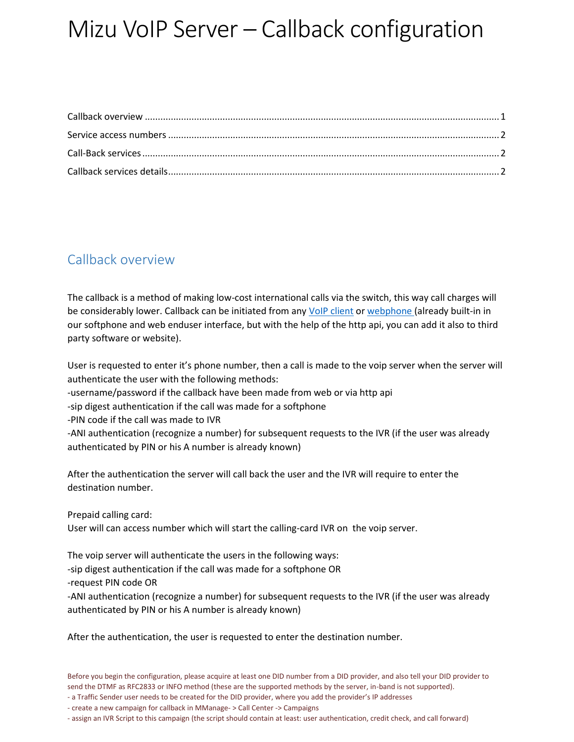# Mizu VoIP Server – Callback configuration

## <span id="page-0-0"></span>Callback overview

The callback is a method of making low-cost international calls via the switch, this way call charges will be considerably lower. Callback can be initiated from an[y VoIP client](https://www.mizu-voip.com/Software/Softphone.aspx) o[r webphone \(](https://www.mizu-voip.com/Software/WebPhone.aspx)already built-in in our softphone and web enduser interface, but with the help of the http api, you can add it also to third party software or website).

User is requested to enter it's phone number, then a call is made to the voip server when the server will authenticate the user with the following methods:

- -username/password if the callback have been made from web or via http api
- -sip digest authentication if the call was made for a softphone
- -PIN code if the call was made to IVR

-ANI authentication (recognize a number) for subsequent requests to the IVR (if the user was already authenticated by PIN or his A number is already known)

After the authentication the server will call back the user and the IVR will require to enter the destination number.

Prepaid calling card: User will can access number which will start the calling-card IVR on the voip server.

The voip server will authenticate the users in the following ways: -sip digest authentication if the call was made for a softphone OR -request PIN code OR -ANI authentication (recognize a number) for subsequent requests to the IVR (if the user was already authenticated by PIN or his A number is already known)

After the authentication, the user is requested to enter the destination number.

- create a new campaign for callback in MManage- > Call Center -> Campaigns

- assign an IVR Script to this campaign (the script should contain at least: user authentication, credit check, and call forward)

<sup>-</sup> a Traffic Sender user needs to be created for the DID provider, where you add the provider's IP addresses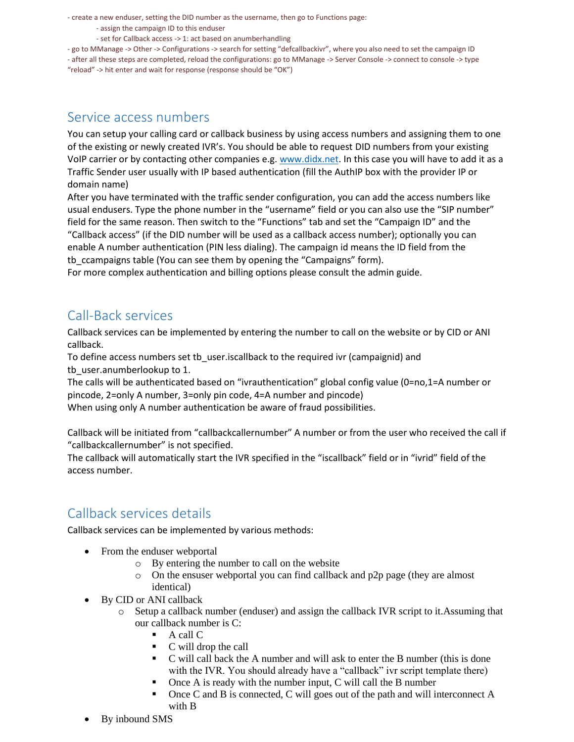- create a new enduser, setting the DID number as the username, then go to Functions page:

- assign the campaign ID to this enduser

- set for Callback access -> 1: act based on anumberhandling

- go to MManage -> Other -> Configurations -> search for setting "defcallbackivr", where you also need to set the campaign ID

- after all these steps are completed, reload the configurations: go to MManage -> Server Console -> connect to console -> type "reload" -> hit enter and wait for response (response should be "OK")

#### <span id="page-1-0"></span>Service access numbers

You can setup your calling card or callback business by using access numbers and assigning them to one of the existing or newly created IVR's. You should be able to request DID numbers from your existing VoIP carrier or by contacting other companies e.g. [www.didx.net.](http://www.didx.net/) In this case you will have to add it as a Traffic Sender user usually with IP based authentication (fill the AuthIP box with the provider IP or domain name)

After you have terminated with the traffic sender configuration, you can add the access numbers like usual endusers. Type the phone number in the "username" field or you can also use the "SIP number" field for the same reason. Then switch to the "Functions" tab and set the "Campaign ID" and the "Callback access" (if the DID number will be used as a callback access number); optionally you can enable A number authentication (PIN less dialing). The campaign id means the ID field from the tb\_ccampaigns table (You can see them by opening the "Campaigns" form).

For more complex authentication and billing options please consult the admin guide.

### <span id="page-1-1"></span>Call-Back services

Callback services can be implemented by entering the number to call on the website or by CID or ANI callback.

To define access numbers set tb\_user.iscallback to the required ivr (campaignid) and tb\_user.anumberlookup to 1.

The calls will be authenticated based on "ivrauthentication" global config value (0=no,1=A number or pincode, 2=only A number, 3=only pin code, 4=A number and pincode)

When using only A number authentication be aware of fraud possibilities.

Callback will be initiated from "callbackcallernumber" A number or from the user who received the call if "callbackcallernumber" is not specified.

The callback will automatically start the IVR specified in the "iscallback" field or in "ivrid" field of the access number.

### <span id="page-1-2"></span>Callback services details

Callback services can be implemented by various methods:

- From the enduser webportal
	- o By entering the number to call on the website
	- o On the ensuser webportal you can find callback and p2p page (they are almost identical)
- By CID or ANI callback
	- o Setup a callback number (enduser) and assign the callback IVR script to it.Assuming that our callback number is C:
		- $\blacksquare$  A call C
		- C will drop the call
		- C will call back the A number and will ask to enter the B number (this is done with the IVR. You should already have a "callback" ivr script template there)
		- Once A is ready with the number input, C will call the B number
		- Once C and B is connected, C will goes out of the path and will interconnect A with B
- By inbound SMS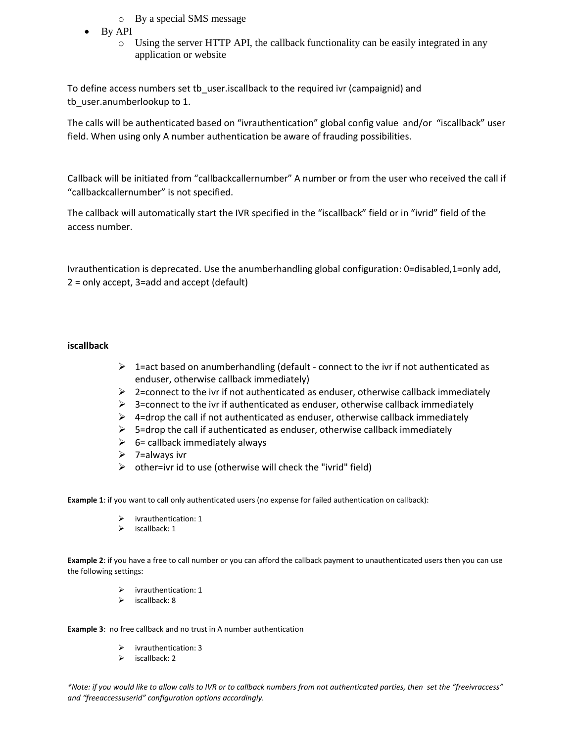- o By a special SMS message
- By API
	- o Using the server HTTP API, the callback functionality can be easily integrated in any application or website

To define access numbers set tb user.iscallback to the required ivr (campaignid) and tb user.anumberlookup to 1.

The calls will be authenticated based on "ivrauthentication" global config value and/or "iscallback" user field. When using only A number authentication be aware of frauding possibilities.

Callback will be initiated from "callbackcallernumber" A number or from the user who received the call if "callbackcallernumber" is not specified.

The callback will automatically start the IVR specified in the "iscallback" field or in "ivrid" field of the access number.

Ivrauthentication is deprecated. Use the anumberhandling global configuration: 0=disabled,1=only add, 2 = only accept, 3=add and accept (default)

#### **iscallback**

- $\triangleright$  1=act based on anumberhandling (default connect to the ivr if not authenticated as enduser, otherwise callback immediately)
- $\triangleright$  2=connect to the ivr if not authenticated as enduser, otherwise callback immediately
- $\triangleright$  3=connect to the ivr if authenticated as enduser, otherwise callback immediately
- $\triangleright$  4=drop the call if not authenticated as enduser, otherwise callback immediately
- $\triangleright$  5=drop the call if authenticated as enduser, otherwise callback immediately
- $\geq$  6= callback immediately always
- $\triangleright$  7=always ivr
- $\triangleright$  other=ivr id to use (otherwise will check the "ivrid" field)

**Example 1**: if you want to call only authenticated users (no expense for failed authentication on callback):

- $\triangleright$  ivrauthentication: 1
- $\triangleright$  iscallback: 1

**Example 2**: if you have a free to call number or you can afford the callback payment to unauthenticated users then you can use the following settings:

- $\triangleright$  ivrauthentication: 1
- $\triangleright$  iscallback: 8

**Example 3**: no free callback and no trust in A number authentication

- ivrauthentication: 3
- $\triangleright$  iscallback: 2

*\*Note: if you would like to allow calls to IVR or to callback numbers from not authenticated parties, then set the "freeivraccess" and "freeaccessuserid" configuration options accordingly.*